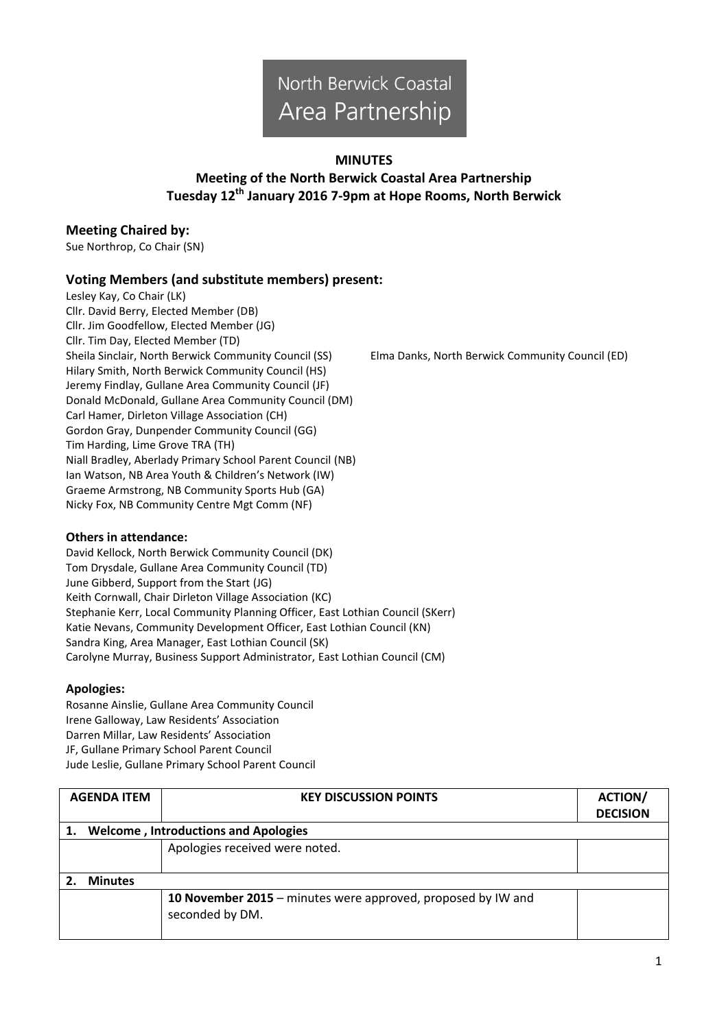# North Berwick Coastal Area Partnership

#### **MINUTES**

## **Meeting of the North Berwick Coastal Area Partnership Tuesday 12 th January 2016 7-9pm at Hope Rooms, North Berwick**

## **Meeting Chaired by:**

Sue Northrop, Co Chair (SN)

## **Voting Members (and substitute members) present:**

Lesley Kay, Co Chair (LK) Cllr. David Berry, Elected Member (DB) Cllr. Jim Goodfellow, Elected Member (JG) Cllr. Tim Day, Elected Member (TD) Sheila Sinclair, North Berwick Community Council (SS) Elma Danks, North Berwick Community Council (ED) Hilary Smith, North Berwick Community Council (HS) Jeremy Findlay, Gullane Area Community Council (JF) Donald McDonald, Gullane Area Community Council (DM) Carl Hamer, Dirleton Village Association (CH) Gordon Gray, Dunpender Community Council (GG) Tim Harding, Lime Grove TRA (TH) Niall Bradley, Aberlady Primary School Parent Council (NB) Ian Watson, NB Area Youth & Children's Network (IW) Graeme Armstrong, NB Community Sports Hub (GA) Nicky Fox, NB Community Centre Mgt Comm (NF)

#### **Others in attendance:**

David Kellock, North Berwick Community Council (DK) Tom Drysdale, Gullane Area Community Council (TD) June Gibberd, Support from the Start (JG) Keith Cornwall, Chair Dirleton Village Association (KC) Stephanie Kerr, Local Community Planning Officer, East Lothian Council (SKerr) Katie Nevans, Community Development Officer, East Lothian Council (KN) Sandra King, Area Manager, East Lothian Council (SK) Carolyne Murray, Business Support Administrator, East Lothian Council (CM)

#### **Apologies:**

Rosanne Ainslie, Gullane Area Community Council Irene Galloway, Law Residents' Association Darren Millar, Law Residents' Association JF, Gullane Primary School Parent Council Jude Leslie, Gullane Primary School Parent Council

| <b>AGENDA ITEM</b> |                                             | <b>KEY DISCUSSION POINTS</b>                                                    | <b>ACTION/</b><br><b>DECISION</b> |  |  |
|--------------------|---------------------------------------------|---------------------------------------------------------------------------------|-----------------------------------|--|--|
|                    | <b>Welcome, Introductions and Apologies</b> |                                                                                 |                                   |  |  |
|                    |                                             | Apologies received were noted.                                                  |                                   |  |  |
|                    |                                             |                                                                                 |                                   |  |  |
|                    | <b>Minutes</b>                              |                                                                                 |                                   |  |  |
|                    |                                             | 10 November 2015 – minutes were approved, proposed by IW and<br>seconded by DM. |                                   |  |  |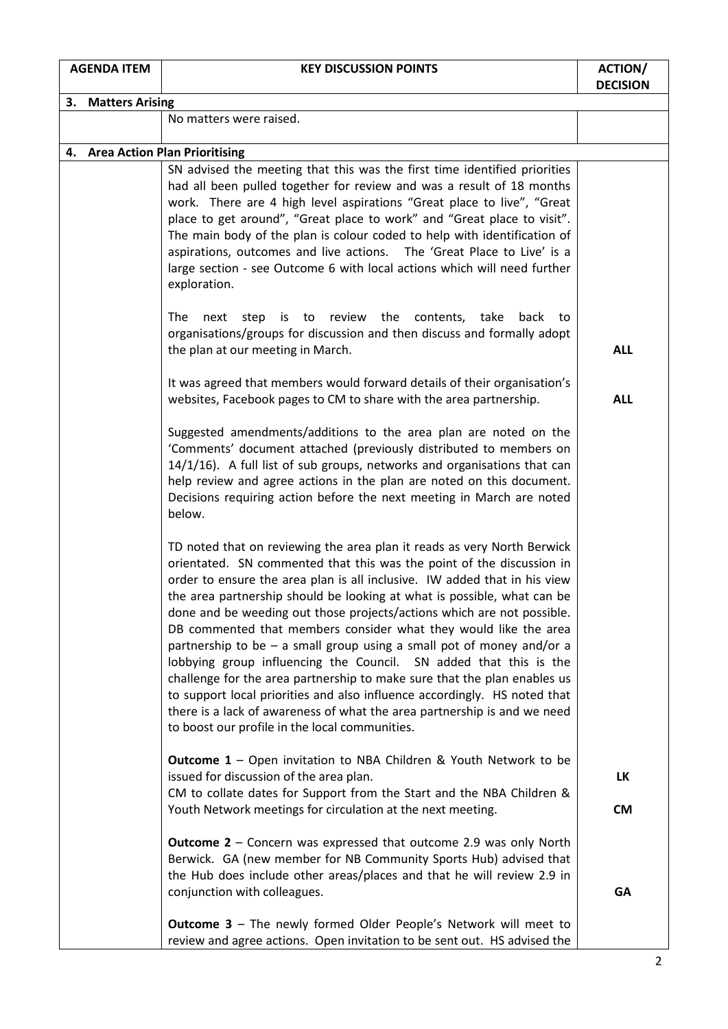| <b>AGENDA ITEM</b> |                    | <b>KEY DISCUSSION POINTS</b>                                                                                                                                                                                                                                                                                                                                                                                                                                                                                                                                                                                                                                                                                                                                                                                                                                                                  | <b>ACTION/</b><br><b>DECISION</b> |  |  |  |
|--------------------|--------------------|-----------------------------------------------------------------------------------------------------------------------------------------------------------------------------------------------------------------------------------------------------------------------------------------------------------------------------------------------------------------------------------------------------------------------------------------------------------------------------------------------------------------------------------------------------------------------------------------------------------------------------------------------------------------------------------------------------------------------------------------------------------------------------------------------------------------------------------------------------------------------------------------------|-----------------------------------|--|--|--|
|                    | 3. Matters Arising |                                                                                                                                                                                                                                                                                                                                                                                                                                                                                                                                                                                                                                                                                                                                                                                                                                                                                               |                                   |  |  |  |
|                    |                    | No matters were raised.                                                                                                                                                                                                                                                                                                                                                                                                                                                                                                                                                                                                                                                                                                                                                                                                                                                                       |                                   |  |  |  |
|                    |                    |                                                                                                                                                                                                                                                                                                                                                                                                                                                                                                                                                                                                                                                                                                                                                                                                                                                                                               |                                   |  |  |  |
|                    |                    | 4. Area Action Plan Prioritising<br>SN advised the meeting that this was the first time identified priorities<br>had all been pulled together for review and was a result of 18 months<br>work. There are 4 high level aspirations "Great place to live", "Great<br>place to get around", "Great place to work" and "Great place to visit".<br>The main body of the plan is colour coded to help with identification of<br>aspirations, outcomes and live actions. The 'Great Place to Live' is a<br>large section - see Outcome 6 with local actions which will need further<br>exploration.                                                                                                                                                                                                                                                                                                 |                                   |  |  |  |
|                    |                    | next step is to review the contents, take<br>The<br>back to<br>organisations/groups for discussion and then discuss and formally adopt<br>the plan at our meeting in March.                                                                                                                                                                                                                                                                                                                                                                                                                                                                                                                                                                                                                                                                                                                   | <b>ALL</b>                        |  |  |  |
|                    |                    | It was agreed that members would forward details of their organisation's<br>websites, Facebook pages to CM to share with the area partnership.                                                                                                                                                                                                                                                                                                                                                                                                                                                                                                                                                                                                                                                                                                                                                | <b>ALL</b>                        |  |  |  |
|                    |                    | Suggested amendments/additions to the area plan are noted on the<br>'Comments' document attached (previously distributed to members on<br>14/1/16). A full list of sub groups, networks and organisations that can<br>help review and agree actions in the plan are noted on this document.<br>Decisions requiring action before the next meeting in March are noted<br>below.                                                                                                                                                                                                                                                                                                                                                                                                                                                                                                                |                                   |  |  |  |
|                    |                    | TD noted that on reviewing the area plan it reads as very North Berwick<br>orientated. SN commented that this was the point of the discussion in<br>order to ensure the area plan is all inclusive. IW added that in his view<br>the area partnership should be looking at what is possible, what can be<br>done and be weeding out those projects/actions which are not possible.<br>DB commented that members consider what they would like the area<br>partnership to be $-$ a small group using a small pot of money and/or a<br>lobbying group influencing the Council. SN added that this is the<br>challenge for the area partnership to make sure that the plan enables us<br>to support local priorities and also influence accordingly. HS noted that<br>there is a lack of awareness of what the area partnership is and we need<br>to boost our profile in the local communities. |                                   |  |  |  |
|                    |                    | <b>Outcome 1</b> – Open invitation to NBA Children & Youth Network to be<br>issued for discussion of the area plan.<br>CM to collate dates for Support from the Start and the NBA Children &                                                                                                                                                                                                                                                                                                                                                                                                                                                                                                                                                                                                                                                                                                  | LK                                |  |  |  |
|                    |                    | Youth Network meetings for circulation at the next meeting.<br><b>Outcome 2</b> – Concern was expressed that outcome 2.9 was only North<br>Berwick. GA (new member for NB Community Sports Hub) advised that<br>the Hub does include other areas/places and that he will review 2.9 in<br>conjunction with colleagues.                                                                                                                                                                                                                                                                                                                                                                                                                                                                                                                                                                        | <b>CM</b><br><b>GA</b>            |  |  |  |
|                    |                    | <b>Outcome 3 - The newly formed Older People's Network will meet to</b><br>review and agree actions. Open invitation to be sent out. HS advised the                                                                                                                                                                                                                                                                                                                                                                                                                                                                                                                                                                                                                                                                                                                                           |                                   |  |  |  |